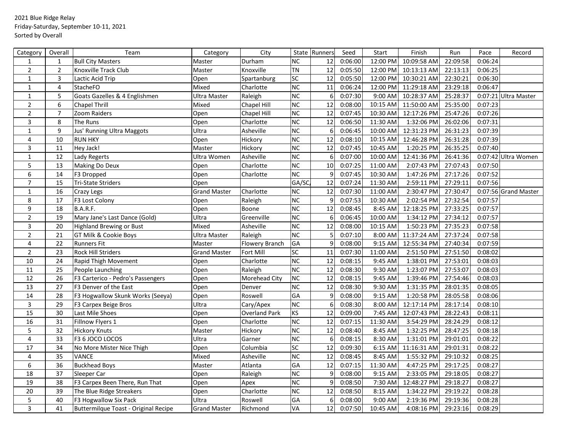## 2021 Blue Ridge Relay Friday-Saturday, September 10-11, 2021 Sorted by Overall

| Category         | Overall          | Team                                 | Category            | City                  |                                     | State Runners   | Seed    | Start    | Finish      | Run      | Pace    | Record               |
|------------------|------------------|--------------------------------------|---------------------|-----------------------|-------------------------------------|-----------------|---------|----------|-------------|----------|---------|----------------------|
| $\mathbf{1}$     | $\mathbf{1}$     | <b>Bull City Masters</b>             | Master              | Durham                | <b>NC</b>                           | 12              | 0:06:00 | 12:00 PM | 10:09:58 AM | 22:09:58 | 0:06:24 |                      |
| $\mathbf 2$      | $\overline{2}$   | Knoxville Track Club                 | Master              | Knoxville             | <b>TN</b>                           | $\overline{12}$ | 0:05:50 | 12:00 PM | 10:13:13 AM | 22:13:13 | 0:06:25 |                      |
| $\mathbf 1$      | $\mathsf{3}$     | Lactic Acid Trip                     | Open                | Spartanburg           | SC                                  | 12              | 0:05:50 | 12:00 PM | 10:30:21 AM | 22:30:21 | 0:06:30 |                      |
| $\mathbf 1$      | $\overline{4}$   | <b>StacheFO</b>                      | Mixed               | Charlotte             | <b>NC</b>                           | 11              | 0:06:24 | 12:00 PM | 11:29:18 AM | 23:29:18 | 0:06:47 |                      |
| $\mathbf{1}$     | 5                | Goats Gazelles & 4 Englishmen        | Ultra Master        | Raleigh               | $\overline{\overline{\mathsf{NC}}}$ | 6               | 0:07:30 | 9:00 AM  | 10:28:37 AM | 25:28:37 |         | 0:07:21 Ultra Master |
| $\sqrt{2}$       | $\boldsymbol{6}$ | Chapel Thrill                        | Mixed               | Chapel Hill           | NC                                  | 12              | 0:08:00 | 10:15 AM | 11:50:00 AM | 25:35:00 | 0:07:23 |                      |
| $\overline{2}$   | $\overline{7}$   | Zoom Raiders                         | Open                | Chapel Hill           | <b>NC</b>                           | 12              | 0:07:45 | 10:30 AM | 12:17:26 PM | 25:47:26 | 0:07:26 |                      |
| 3                | 8                | The Runs                             | Open                | Charlotte             | $\overline{\text{NC}}$              | $\overline{12}$ | 0:06:50 | 11:30 AM | 1:32:06 PM  | 26:02:06 | 0:07:31 |                      |
| $\mathbf{1}$     | 9                | Jus' Running Ultra Maggots           | Ultra               | Asheville             | <b>NC</b>                           | 6               | 0:06:45 | 10:00 AM | 12:31:23 PM | 26:31:23 | 0:07:39 |                      |
| $\overline{4}$   | 10               | <b>RUN HKY</b>                       | Open                | Hickory               | <b>NC</b>                           | 12              | 0:08:10 | 10:15 AM | 12:46:28 PM | 26:31:28 | 0:07:39 |                      |
| 3                | 11               | Hey Jack!                            | Master              | Hickory               | <b>NC</b>                           | 12              | 0:07:45 | 10:45 AM | 1:20:25 PM  | 26:35:25 | 0:07:40 |                      |
| $\mathbf 1$      | 12               | Lady Regerts                         | Ultra Women         | Asheville             | <b>NC</b>                           | 6               | 0:07:00 | 10:00 AM | 12:41:36 PM | 26:41:36 |         | 0:07:42 Ultra Women  |
| 5                | 13               | Making Do Deux                       | Open                | Charlotte             | NC                                  | 10              | 0:07:25 | 11:00 AM | 2:07:43 PM  | 27:07:43 | 0:07:50 |                      |
| 6                | 14               | F3 Dropped                           | Open                | Charlotte             | <b>NC</b>                           | 9               | 0:07:45 | 10:30 AM | 1:47:26 PM  | 27:17:26 | 0:07:52 |                      |
| $\overline{7}$   | 15               | Tri-State Striders                   | Open                |                       | GA/SC                               | 12              | 0:07:24 | 11:30 AM | 2:59:11 PM  | 27:29:11 | 0:07:56 |                      |
| $\mathbf{1}$     | 16               | Crazy Legs                           | <b>Grand Master</b> | Charlotte             | NC                                  | 12              | 0:07:30 | 11:00 AM | 2:30:47 PM  | 27:30:47 |         | 0:07:56 Grand Master |
| 8                | 17               | F3 Lost Colony                       | Open                | Raleigh               | NC                                  | 9               | 0:07:53 | 10:30 AM | 2:02:54 PM  | 27:32:54 | 0:07:57 |                      |
| $\boldsymbol{9}$ | 18               | B.A.R.F.                             | Open                | Boone                 | <b>NC</b>                           | 12              | 0:08:45 | 8:45 AM  | 12:18:25 PM | 27:33:25 | 0:07:57 |                      |
| $\sqrt{2}$       | 19               | Mary Jane's Last Dance (Gold)        | Ultra               | Greenville            | <b>NC</b>                           | 6               | 0:06:45 | 10:00 AM | 1:34:12 PM  | 27:34:12 | 0:07:57 |                      |
| 3                | 20               | <b>Highland Brewing or Bust</b>      | Mixed               | Asheville             | <b>NC</b>                           | 12              | 0:08:00 | 10:15 AM | 1:50:23 PM  | 27:35:23 | 0:07:58 |                      |
| $\overline{2}$   | 21               | GT Milk & Cookie Boys                | Ultra Master        | Raleigh               | <b>NC</b>                           |                 | 0:07:10 | 8:00 AM  | 11:37:24 AM | 27:37:24 | 0:07:58 |                      |
| $\pmb{4}$        | 22               | <b>Runners Fit</b>                   | Master              | <b>Flowery Branch</b> | GA                                  | 9               | 0:08:00 | 9:15 AM  | 12:55:34 PM | 27:40:34 | 0:07:59 |                      |
| $\overline{2}$   | 23               | Rock Hill Striders                   | <b>Grand Master</b> | Fort Mill             | <b>SC</b>                           | 11              | 0:07:30 | 11:00 AM | 2:51:50 PM  | 27:51:50 | 0:08:02 |                      |
| 10               | 24               | Rapid Thigh Movement                 | Open                | Charlotte             | <b>NC</b>                           | 12              | 0:08:15 | 9:45 AM  | 1:38:01 PM  | 27:53:01 | 0:08:03 |                      |
| 11               | 25               | People Launching                     | Open                | Raleigh               | <b>NC</b>                           | 12              | 0:08:30 | 9:30 AM  | 1:23:07 PM  | 27:53:07 | 0:08:03 |                      |
| 12               | 26               | F3 Carterico - Pedro's Passengers    | Open                | Morehead City         | <b>NC</b>                           | 12              | 0:08:15 | 9:45 AM  | 1:39:46 PM  | 27:54:46 | 0:08:03 |                      |
| 13               | 27               | F3 Denver of the East                | Open                | Denver                | <b>NC</b>                           | 12              | 0:08:30 | 9:30 AM  | 1:31:35 PM  | 28:01:35 | 0:08:05 |                      |
| 14               | 28               | F3 Hogwallow Skunk Works (Seeya)     | Open                | Roswell               | GA                                  | $\mathsf{q}$    | 0:08:00 | 9:15 AM  | 1:20:58 PM  | 28:05:58 | 0:08:06 |                      |
| $\overline{3}$   | 29               | F3 Carpex Beige Bros                 | Ultra               | Cary/Apex             | <b>NC</b>                           | 6               | 0:08:30 | 8:00 AM  | 12:17:14 PM | 28:17:14 | 0:08:10 |                      |
| 15               | 30               | Last Mile Shoes                      | Open                | <b>Overland Park</b>  | KS                                  | 12              | 0:09:00 | 7:45 AM  | 12:07:43 PM | 28:22:43 | 0:08:11 |                      |
| 16               | 31               | Fillnow Flyers 1                     | Open                | Charlotte             | <b>NC</b>                           | 12              | 0:07:15 | 11:30 AM | 3:54:29 PM  | 28:24:29 | 0:08:12 |                      |
| 5                | 32               | <b>Hickory Knuts</b>                 | Master              | Hickory               | <b>NC</b>                           | 12              | 0:08:40 | 8:45 AM  | 1:32:25 PM  | 28:47:25 | 0:08:18 |                      |
| $\overline{4}$   | 33               | F3 6 JOCO LOCOS                      | Ultra               | Garner                | NC                                  | 6               | 0:08:15 | 8:30 AM  | 1:31:01 PM  | 29:01:01 | 0:08:22 |                      |
| 17               | 34               | No More Mister Nice Thigh            | Open                | Columbia              | SC                                  | 12              | 0:09:30 | 6:15 AM  | 11:16:31 AM | 29:01:31 | 0:08:22 |                      |
| $\overline{4}$   | 35               | VANCE                                | Mixed               | Asheville             | <b>NC</b>                           | 12              | 0:08:45 | 8:45 AM  | 1:55:32 PM  | 29:10:32 | 0:08:25 |                      |
| 6                | 36               | <b>Buckhead Boys</b>                 | Master              | Atlanta               | GA                                  | 12              | 0:07:15 | 11:30 AM | 4:47:25 PM  | 29:17:25 | 0:08:27 |                      |
| 18               | 37               | Sleeper Car                          | Open                | Raleigh               | <b>NC</b>                           | q               | 0:08:00 | 9:15 AM  | 2:33:05 PM  | 29:18:05 | 0:08:27 |                      |
| 19               | 38               | F3 Carpex Been There, Run That       | Open                | Apex                  | NC                                  | 9               | 0:08:50 | 7:30 AM  | 12:48:27 PM | 29:18:27 | 0:08:27 |                      |
| 20               | 39               | The Blue Ridge Streakers             | Open                | Charlotte             | <b>NC</b>                           | 12              | 0:08:50 | 8:15 AM  | 1:34:22 PM  | 29:19:22 | 0:08:28 |                      |
| 5                | 40               | F3 Hogwallow Six Pack                | Ultra               | Roswell               | GA                                  | 6               | 0:08:00 | 9:00 AM  | 2:19:36 PM  | 29:19:36 | 0:08:28 |                      |
| 3                | 41               | Buttermilque Toast - Original Recipe | <b>Grand Master</b> | Richmond              | VA                                  | 12              | 0:07:50 | 10:45 AM | 4:08:16 PM  | 29:23:16 | 0:08:29 |                      |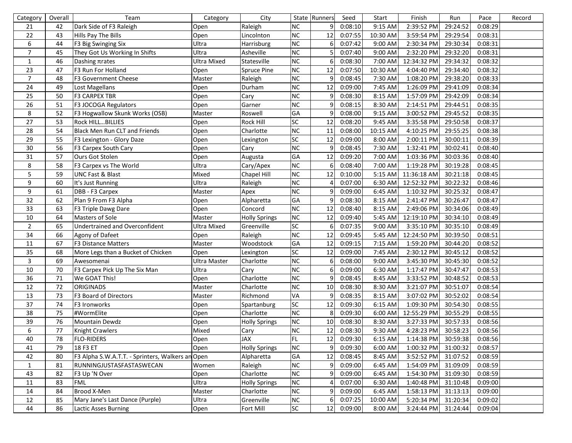| Category       | Overall | Team                                             | Category            | City                 |                 | State Runners | Seed              | Start     | Finish             | Run      | Pace    | Record |
|----------------|---------|--------------------------------------------------|---------------------|----------------------|-----------------|---------------|-------------------|-----------|--------------------|----------|---------|--------|
| 21             | 42      | Dark Side of F3 Raleigh                          | Open                | Raleigh              | NC              | 9             | 0:08:10           | 9:15 AM   | 2:39:52 PM         | 29:24:52 | 0:08:29 |        |
| 22             | 43      | Hills Pay The Bills                              | Open                | Lincolnton           | NC              | 12            | 0:07:55           | 10:30 AM  | 3:59:54 PM         | 29:29:54 | 0:08:31 |        |
| 6              | 44      | F3 Big Swinging Six                              | Ultra               | Harrisburg           | NC              | 6             | 0:07:42           | 9:00 AM   | 2:30:34 PM         | 29:30:34 | 0:08:31 |        |
| $\overline{7}$ | 45      | They Got Us Working In Shifts                    | Ultra               | Asheville            | NC              |               | 0:07:40           | 9:00 AM   | 2:32:20 PM         | 29:32:20 | 0:08:31 |        |
| $\mathbf{1}$   | 46      | Dashing Trates                                   | <b>Ultra Mixed</b>  | Statesville          | NC              | 6             | 0:08:30           | 7:00 AM   | 12:34:32 PM        | 29:34:32 | 0:08:32 |        |
| 23             | 47      | F3 Run For Holland                               | Open                | Spruce Pine          | NC              | 12            | 0:07:50           | 10:30 AM  | 4:04:40 PM         | 29:34:40 | 0:08:32 |        |
| $\overline{7}$ | 48      | F3 Government Cheese                             | Master              | Raleigh              | NC              | 9             | 0:08:45           | 7:30 AM   | 1:08:20 PM         | 29:38:20 | 0:08:33 |        |
| 24             | 49      | Lost Magellans                                   | Open                | Durham               | $\overline{NC}$ | 12            | 0:09:00           | 7:45 AM   | 1:26:09 PM         | 29:41:09 | 0:08:34 |        |
| 25             | 50      | <b>F3 CARPEX TBR</b>                             | Open                | Cary                 | NC              | 9             | 0:08:30           | 8:15 AM   | 1:57:09 PM         | 29:42:09 | 0:08:34 |        |
| 26             | 51      | F3 JOCOGA Regulators                             | Open                | Garner               | $\overline{NC}$ | 9             | 0:08:15           | 8:30 AM   | 2:14:51 PM         | 29:44:51 | 0:08:35 |        |
| 8              | 52      | F3 Hogwallow Skunk Works (OSB)                   | Master              | Roswell              | GA              | 9             | 0:08:00           | 9:15 AM   | 3:00:52 PM         | 29:45:52 | 0:08:35 |        |
| 27             | 53      | Rock HILL BILLIES                                | Open                | Rock Hill            | $\overline{SC}$ | 12            | 0:08:20           | 9:45 AM   | 3:35:58 PM         | 29:50:58 | 0:08:37 |        |
| 28             | 54      | Black Men Run CLT and Friends                    | Open                | Charlotte            | NC              | 11            | 0:08:00           | 10:15 AM  | 4:10:25 PM         | 29:55:25 | 0:08:38 |        |
| 29             | 55      | F3 Lexington - Glory Daze                        | Open                | Lexington            | SC              | 12            | 0:09:00           | 8:00 AM   | 2:00:11 PM         | 30:00:11 | 0:08:39 |        |
| 30             | 56      | F3 Carpex South Cary                             | Open                | Cary                 | NC              | 9             | 0:08:45           | 7:30 AM   | 1:32:41 PM         | 30:02:41 | 0:08:40 |        |
| 31             | 57      | Ours Got Stolen                                  | Open                | Augusta              | GA              | 12            | 0:09:20           | 7:00 AM   | 1:03:36 PM         | 30:03:36 | 0:08:40 |        |
| 8              | 58      | F3 Carpex vs The World                           | Ultra               | Cary/Apex            | NC              | 6             | 0:08:40           | 7:00 AM   | 1:19:28 PM         | 30:19:28 | 0:08:45 |        |
| 5              | 59      | UNC Fast & Blast                                 | Mixed               | Chapel Hill          | NC              | 12            | 0:10:00           | $5:15$ AM | 11:36:18 AM        | 30:21:18 | 0:08:45 |        |
| 9              | 60      | It's Just Running                                | Ultra               | Raleigh              | NC              |               | 0:07:00           | $6:30$ AM | 12:52:32 PM        | 30:22:32 | 0:08:46 |        |
| 9              | 61      | DBB - F3 Carpex                                  | Master              | Apex                 | NC              | 9             | 0:09:00           | $6:45$ AM | 1:10:32 PM         | 30:25:32 | 0:08:47 |        |
| 32             | 62      | Plan 9 From F3 Alpha                             | Open                | Alpharetta           | GA              | 9             | 0:08:30           | 8:15 AM   | 2:41:47 PM         | 30:26:47 | 0:08:47 |        |
| 33             | 63      | F3 Triple Dawg Dare                              | Open                | Concord              | NC              | 12            | 0:08:40           | 8:15 AM   | 2:49:06 PM         | 30:34:06 | 0:08:49 |        |
| $10\,$         | 64      | Masters of Sole                                  | Master              | <b>Holly Springs</b> | NC              | 12            | 0:09:40           | 5:45 AM   | 12:19:10 PM        | 30:34:10 | 0:08:49 |        |
| $\sqrt{2}$     | 65      | Undertrained and Overconfident                   | <b>Ultra Mixed</b>  | Greenville           | $\overline{SC}$ | 6             | 0:07:35           | $9:00$ AM | 3:35:10 PM         | 30:35:10 | 0:08:49 |        |
| 34             | 66      | Agony of Dafeet                                  | Open                | Raleigh              | $\overline{NC}$ | 12            | 0:09:45           | 5:45 AM   | 12:24:50 PM        | 30:39:50 | 0:08:51 |        |
| 11             | 67      | F3 Distance Matters                              | Master              | Woodstock            | GA              | 12            | 0:09:15           | $7:15$ AM | 1:59:20 PM         | 30:44:20 | 0:08:52 |        |
| 35             | 68      | More Legs than a Bucket of Chicken               | Open                | Lexington            | SC              | 12            | 0:09:00           | 7:45 AM   | 2:30:12 PM         | 30:45:12 | 0:08:52 |        |
| $\mathsf{3}$   | 69      | Awesomenai                                       | <b>Ultra Master</b> | Charlotte            | NC              | 6             | 0:08:00           | $9:00$ AM | 3:45:30 PM         | 30:45:30 | 0:08:52 |        |
| $10\,$         | 70      | F3 Carpex Pick Up The Six Man                    | Ultra               | Cary                 | NC              | 6             | 0:09:00           | 6:30 AM   | 1:17:47 PM         | 30:47:47 | 0:08:53 |        |
| 36             | 71      | We GOAT This!                                    | Open                | Charlotte            | NC              | 9             | 0:08:45           | 8:45 AM   | 3:33:52 PM         | 30:48:52 | 0:08:53 |        |
| 12             | 72      | <b>ORIGINADS</b>                                 | Master              | Charlotte            | NC              | 10            | 0:08:30           | 8:30 AM   | 3:21:07 PM         | 30:51:07 | 0:08:54 |        |
| 13             | 73      | F3 Board of Directors                            | Master              | Richmond             | VA              | 9             | 0:08:35           | 8:15 AM   | 3:07:02 PM         | 30:52:02 | 0:08:54 |        |
| 37             | 74      | F3 Ironworks                                     | Open                | Spartanburg          | $\overline{SC}$ | 12            | 0:09:30           | 6:15 AM   | 1:09:30 PM         | 30:54:30 | 0:08:55 |        |
| 38             | 75      | #WormElite                                       | Open                | Charlotte            | NC              | 8             | 0:09:30           | $6:00$ AM | 12:55:29 PM        | 30:55:29 | 0:08:55 |        |
| 39             | 76      | Mountain Dewdz                                   | Open                | <b>Holly Springs</b> | NC              | 10            | 0:08:30           | 8:30 AM   | 3:27:33 PM         | 30:57:33 | 0:08:56 |        |
| 6              | 77      | Knight Crawlers                                  | Mixed               | Cary                 | NC              | 12            | 0:08:30           | 9:30 AM   | 4:28:23 PM         | 30:58:23 | 0:08:56 |        |
| 40             | 78      | <b>FLO-RIDERS</b>                                | Open                | <b>JAX</b>           | FL              |               | $12 \mid 0:09:30$ |           | 6:15 AM 1:14:38 PM | 30:59:38 | 0:08:56 |        |
| 41             | 79      | 18 F3 ET                                         | Open                | <b>Holly Springs</b> | NC              | 9             | 0:09:30           | 6:00 AM   | 1:00:32 PM         | 31:00:32 | 0:08:57 |        |
| 42             | 80      | F3 Alpha S.W.A.T.T. - Sprinters, Walkers an Open |                     | Alpharetta           | GA              | 12            | 0:08:45           | $8:45$ AM | 3:52:52 PM         | 31:07:52 | 0:08:59 |        |
| 1              | 81      | RUNNINGJUSTASFASTASWECAN                         | Women               | Raleigh              | ${\sf NC}$      | 9             | 0:09:00           | $6:45$ AM | 1:54:09 PM         | 31:09:09 | 0:08:59 |        |
| 43             | 82      | F3 Up 'N Over                                    | Open                | Charlotte            | NC              |               | 0:09:00           | $6:45$ AM | 1:54:30 PM         | 31:09:30 | 0:08:59 |        |
| 11             | 83      | <b>FML</b>                                       | Ultra               | <b>Holly Springs</b> | NC              |               | 0:07:00           | $6:30$ AM | 1:40:48 PM         | 31:10:48 | 0:09:00 |        |
| 14             | 84      | Brood X-Men                                      | Master              | Charlotte            | ${\sf NC}$      | 9             | 0:09:00           | $6:45$ AM | 1:58:13 PM         | 31:13:13 | 0:09:00 |        |
| 12             | 85      | Mary Jane's Last Dance (Purple)                  | Ultra               | Greenville           | ${\sf NC}$      | 6             | 0:07:25           | 10:00 AM  | 5:20:34 PM         | 31:20:34 | 0:09:02 |        |
| 44             | 86      | Lactic Asses Burning                             | Open                | Fort Mill            | SC              | 12            | 0:09:00           | $8:00$ AM | 3:24:44 PM         | 31:24:44 | 0:09:04 |        |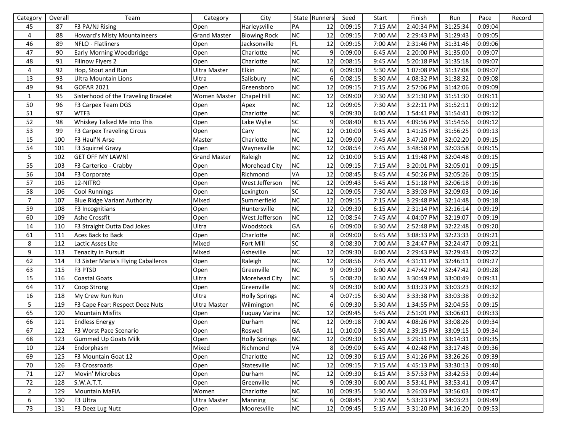| Category       | Overall | Team                                 | Category            | City                 |            | State Runners  | Seed       | Start   | Finish     | Run      | Pace    | Record |
|----------------|---------|--------------------------------------|---------------------|----------------------|------------|----------------|------------|---------|------------|----------|---------|--------|
| 45             | 87      | F3 PA/NJ Rising                      | Open                | Harleysville         | PA         | 12             | 0:09:15    | 7:15 AM | 2:40:34 PM | 31:25:34 | 0:09:04 |        |
| $\overline{4}$ | 88      | Howard's Misty Mountaineers          | <b>Grand Master</b> | <b>Blowing Rock</b>  | <b>NC</b>  | 12             | 0:09:15    | 7:00 AM | 2:29:43 PM | 31:29:43 | 0:09:05 |        |
| 46             | 89      | NFLO - Flatliners                    | Open                | Jacksonville         | FL         | 12             | 0:09:15    | 7:00 AM | 2:31:46 PM | 31:31:46 | 0:09:06 |        |
| 47             | 90      | Early Morning Woodbridge             | Open                | Charlotte            | NC         | 9              | 0:09:00    | 6:45 AM | 2:20:00 PM | 31:35:00 | 0:09:07 |        |
| 48             | 91      | Fillnow Flyers 2                     | Open                | Charlotte            | NC         | 12             | 0:08:15    | 9:45 AM | 5:20:18 PM | 31:35:18 | 0:09:07 |        |
| $\overline{4}$ | 92      | Hop, Stout and Run                   | <b>Ultra Master</b> | Elkin                | NC         | 6              | 0:09:30    | 5:30 AM | 1:07:08 PM | 31:37:08 | 0:09:07 |        |
| 13             | 93      | Ultra Mountain Lions                 | Ultra               | Salisbury            | NC         | 6              | 0:08:15    | 8:30 AM | 4:08:32 PM | 31:38:32 | 0:09:08 |        |
| 49             | 94      | GOFAR 2021                           | Open                | Greensboro           | NC         | 12             | 0:09:15    | 7:15 AM | 2:57:06 PM | 31:42:06 | 0:09:09 |        |
| $\mathbf{1}$   | 95      | Sisterhood of the Traveling Bracelet | <b>Women Master</b> | Chapel Hill          | NC         | 12             | 0:09:00    | 7:30 AM | 3:21:30 PM | 31:51:30 | 0:09:11 |        |
| 50             | 96      | F3 Carpex Team DGS                   | Open                | Apex                 | NC         | 12             | 0:09:05    | 7:30 AM | 3:22:11 PM | 31:52:11 | 0:09:12 |        |
| 51             | 97      | WTF3                                 | Open                | Charlotte            | NC         | 9              | 0:09:30    | 6:00 AM | 1:54:41 PM | 31:54:41 | 0:09:12 |        |
| 52             | 98      | Whiskey Talked Me Into This          | Open                | Lake Wylie           | SC         | 9              | 0:08:40    | 8:15 AM | 4:09:56 PM | 31:54:56 | 0:09:12 |        |
| 53             | 99      | <b>F3 Carpex Traveling Circus</b>    | Open                | Cary                 | NC         | 12             | 0:10:00    | 5:45 AM | 1:41:25 PM | 31:56:25 | 0:09:13 |        |
| 15             | 100     | F3 Haul'N Arse                       | Master              | Charlotte            | NC         | 12             | 0:09:00    | 7:45 AM | 3:47:20 PM | 32:02:20 | 0:09:15 |        |
| 54             | 101     | F3 Squirrel Gravy                    | Open                | Waynesville          | NC         | 12             | 0:08:54    | 7:45 AM | 3:48:58 PM | 32:03:58 | 0:09:15 |        |
| $\overline{5}$ | 102     | <b>GET OFF MY LAWN!</b>              | <b>Grand Master</b> | Raleigh              | NC         | 12             | 0:10:00    | 5:15 AM | 1:19:48 PM | 32:04:48 | 0:09:15 |        |
| 55             | 103     | F3 Carterico - Crabby                | Open                | Morehead City        | NC         | 12             | 0:09:15    | 7:15 AM | 3:20:01 PM | 32:05:01 | 0:09:15 |        |
| 56             | 104     | F3 Corporate                         | Open                | Richmond             | VA         | 12             | 0:08:45    | 8:45 AM | 4:50:26 PM | 32:05:26 | 0:09:15 |        |
| 57             | 105     | 12-NITRO                             | Open                | West Jefferson       | ${\sf NC}$ | 12             | 0:09:43    | 5:45 AM | 1:51:18 PM | 32:06:18 | 0:09:16 |        |
| 58             | 106     | Cool Runnings                        | Open                | Lexington            | SC         | 12             | 0:09:05    | 7:30 AM | 3:39:03 PM | 32:09:03 | 0:09:16 |        |
| $\overline{7}$ | 107     | Blue Ridge Variant Authority         | Mixed               | Summerfield          | NC         | 12             | 0:09:15    | 7:15 AM | 3:29:48 PM | 32:14:48 | 0:09:18 |        |
| 59             | 108     | F3 Incognitians                      | Open                | Huntersville         | NC         | 12             | 0:09:30    | 6:15 AM | 2:31:14 PM | 32:16:14 | 0:09:19 |        |
| 60             | 109     | Ashe Crossfit                        | Open                | West Jefferson       | NC         | 12             | 0:08:54    | 7:45 AM | 4:04:07 PM | 32:19:07 | 0:09:19 |        |
| 14             | 110     | F3 Straight Outta Dad Jokes          | Ultra               | Woodstock            | GA         | 6              | 0:09:00    | 6:30 AM | 2:52:48 PM | 32:22:48 | 0:09:20 |        |
| 61             | 111     | Aces Back to Back                    | Open                | Charlotte            | NC         | 8              | 0:09:00    | 6:45 AM | 3:08:33 PM | 32:23:33 | 0:09:21 |        |
| $\,8\,$        | 112     | Lactic Asses Lite                    | Mixed               | Fort Mill            | SC         | 8              | 0:08:30    | 7:00 AM | 3:24:47 PM | 32:24:47 | 0:09:21 |        |
| 9              | 113     | Tenacity in Pursuit                  | Mixed               | Asheville            | NC         | 12             | 0:09:30    | 6:00 AM | 2:29:43 PM | 32:29:43 | 0:09:22 |        |
| 62             | 114     | F3 Sister Maria's Flying Caballeros  | Open                | Raleigh              | NC         | 12             | 0:08:56    | 7:45 AM | 4:31:11 PM | 32:46:11 | 0:09:27 |        |
| 63             | 115     | F3 PTSD                              | Open                | Greenville           | NC         | 9              | 0:09:30    | 6:00 AM | 2:47:42 PM | 32:47:42 | 0:09:28 |        |
| 15             | 116     | <b>Coastal Goats</b>                 | Ultra               | Morehead City        | ${\sf NC}$ |                | 0:08:20    | 6:30 AM | 3:30:49 PM | 33:00:49 | 0:09:31 |        |
| 64             | 117     | Coop Strong                          | Open                | Greenville           | NC         | q              | 0:09:30    | 6:00 AM | 3:03:23 PM | 33:03:23 | 0:09:32 |        |
| 16             | 118     | My Crew Run Run                      | Ultra               | <b>Holly Springs</b> | ${\sf NC}$ |                | 0:07:15    | 6:30 AM | 3:33:38 PM | 33:03:38 | 0:09:32 |        |
| 5              | 119     | F3 Cape Fear: Respect Deez Nuts      | Ultra Master        | Wilmington           | NC         | 6              | 0:09:30    | 5:30 AM | 1:34:55 PM | 32:04:55 | 0:09:15 |        |
| 65             | 120     | <b>Mountain Misfits</b>              | Open                | Fuquay Varina        | ${\sf NC}$ | 12             | 0:09:45    | 5:45 AM | 2:51:01 PM | 33:06:01 | 0:09:33 |        |
| 66             | 121     | <b>Endless Energy</b>                | Open                | Durham               | $NC$       | 12             | 0:09:18    | 7:00 AM | 4:08:26 PM | 33:08:26 | 0:09:34 |        |
| 67             | 122     | F3 Worst Pace Scenario               | Open                | Roswell              | GA         | 11             | 0:10:00    | 5:30 AM | 2:39:15 PM | 33:09:15 | 0:09:34 |        |
| 68             | 123     | Gummed Up Goats Milk                 | Open                | <b>Holly Springs</b> | NC         |                | 12 0:09:30 | 6:15 AM | 3:29:31 PM | 33:14:31 | 0:09:35 |        |
| 10             | 124     | Endorphasm                           | Mixed               | Richmond             | VA         | 8              | 0:09:00    | 6:45 AM | 4:02:48 PM | 33:17:48 | 0:09:36 |        |
| 69             | 125     | F3 Mountain Goat 12                  | Open                | Charlotte            | ${\sf NC}$ | 12             | 0:09:30    | 6:15 AM | 3:41:26 PM | 33:26:26 | 0:09:39 |        |
| 70             | 126     | F3 Crossroads                        | Open                | Statesville          | ${\sf NC}$ | 12             | 0:09:15    | 7:15 AM | 4:45:13 PM | 33:30:13 | 0:09:40 |        |
| 71             | 127     | Movin' Microbes                      | Open                | Durham               | ${\sf NC}$ | 12             | 0:09:30    | 6:15 AM | 3:57:53 PM | 33:42:53 | 0:09:44 |        |
| 72             | 128     | S.W.A.T.T.                           | Open                | Greenville           | ${\sf NC}$ | 9 <sub>l</sub> | 0:09:30    | 6:00 AM | 3:53:41 PM | 33:53:41 | 0:09:47 |        |
| $\overline{2}$ | 129     | <b>Mountain MaFiA</b>                | Women               | Charlotte            | ${\sf NC}$ | 10             | 0:09:35    | 5:30 AM | 3:26:03 PM | 33:56:03 | 0:09:47 |        |
| 6              | 130     | F3 Ultra                             | <b>Ultra Master</b> | Manning              | ${\sf SC}$ | 6 <sup>1</sup> | 0:08:45    | 7:30 AM | 5:33:23 PM | 34:03:23 | 0:09:49 |        |
| 73             | 131     | F3 Deez Lug Nutz                     | Open                | Mooresville          | <b>NC</b>  | 12             | 0:09:45    | 5:15 AM | 3:31:20 PM | 34:16:20 | 0:09:53 |        |